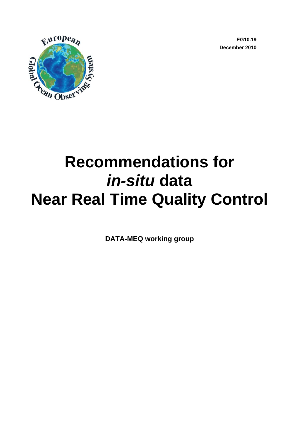**EG10.19 December 2010** 



# **Recommendations for**  *in-situ* **data Near Real Time Quality Control**

**DATA-MEQ working group**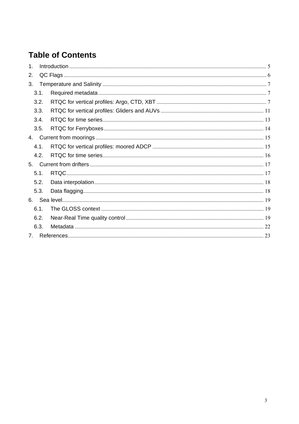## **Table of Contents**

| $\mathbf 1$ |      |  |  |  |
|-------------|------|--|--|--|
| 2.          |      |  |  |  |
| 3.          |      |  |  |  |
|             | 3.1. |  |  |  |
|             | 3.2. |  |  |  |
|             | 3.3. |  |  |  |
|             | 3.4. |  |  |  |
|             | 3.5. |  |  |  |
| 4.          |      |  |  |  |
|             | 4.1. |  |  |  |
|             | 4.2. |  |  |  |
| 5.          |      |  |  |  |
|             | 5.1. |  |  |  |
|             | 5.2. |  |  |  |
|             | 5.3. |  |  |  |
| 6.          |      |  |  |  |
|             | 6.1. |  |  |  |
|             | 6.2. |  |  |  |
|             | 6.3. |  |  |  |
| $7_{\cdot}$ |      |  |  |  |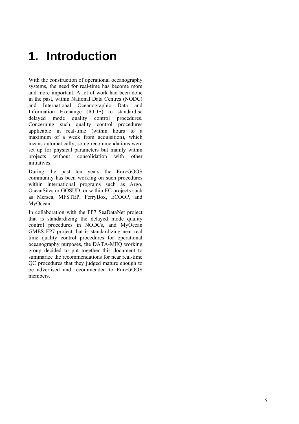## **1. Introduction**

With the construction of operational oceanography systems, the need for real-time has become more and more important. A lot of work had been done in the past, within National Data Centres (NODC) and International Oceanographic Data and Information Exchange (IODE) to standardise delayed mode quality control procedures. Concerning such quality control procedures applicable in real-time (within hours to a maximum of a week from acquisition), which means automatically, some recommendations were set up for physical parameters but mainly within projects without consolidation with other initiatives.

During the past ten years the EuroGOOS community has been working on such procedures within international programs such as Argo, OceanSites or GOSUD, or within EC projects such as Mersea, MFSTEP, FerryBox, ECOOP, and MyOcean.

In collaboration with the FP7 SeaDataNet project that is standardizing the delayed mode quality control procedures in NODCs, and MyOcean GMES FP7 project that is standardizing near real time quality control procedures for operational oceanography purposes, the DATA-MEQ working group decided to put together this document to summarize the recommendations for near real-time QC procedures that they judged mature enough to be advertised and recommended to EuroGOOS members.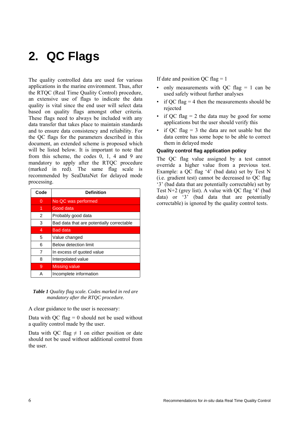## **2. QC Flags**

The quality controlled data are used for various applications in the marine environment. Thus, after the RTQC (Real Time Quality Control) procedure, an extensive use of flags to indicate the data quality is vital since the end user will select data based on quality flags amongst other criteria. These flags need to always be included with any data transfer that takes place to maintain standards and to ensure data consistency and reliability. For the QC flags for the parameters described in this document, an extended scheme is proposed which will be listed below. It is important to note that from this scheme, the codes 0, 1, 4 and 9 are mandatory to apply after the RTQC procedure (marked in red). The same flag scale is recommended by SeaDataNet for delayed mode processing.

| Code | <b>Definition</b>                         |
|------|-------------------------------------------|
| 0    | No QC was performed                       |
| 1    | Good data                                 |
| 2    | Probably good data                        |
| 3    | Bad data that are potentially correctable |
| 4    | <b>Bad data</b>                           |
| 5    | Value changed                             |
| 6    | Below detection limit                     |
| 7    | In excess of quoted value                 |
| 8    | Interpolated value                        |
| 9    | <b>Missing value</b>                      |
| А    | Incomplete information                    |

*Table 1 Quality flag scale. Codes marked in red are mandatory after the RTQC procedure.* 

A clear guidance to the user is necessary:

Data with QC flag  $= 0$  should not be used without a quality control made by the user.

Data with QC flag  $\neq$  1 on either position or date should not be used without additional control from the user.

If date and position QC flag  $= 1$ 

- only measurements with OC flag  $= 1$  can be used safely without further analyses
- if QC flag  $=$  4 then the measurements should be rejected
- if OC flag  $= 2$  the data may be good for some applications but the user should verify this
- if OC flag  $=$  3 the data are not usable but the data centre has some hope to be able to correct them in delayed mode

#### **Quality control flag application policy**

The QC flag value assigned by a test cannot override a higher value from a previous test. Example: a QC flag '4' (bad data) set by Test N (i.e. gradient test) cannot be decreased to QC flag '3' (bad data that are potentially correctable) set by Test  $N+2$  (grey list). A value with OC flag '4' (bad data) or '3' (bad data that are potentially correctable) is ignored by the quality control tests.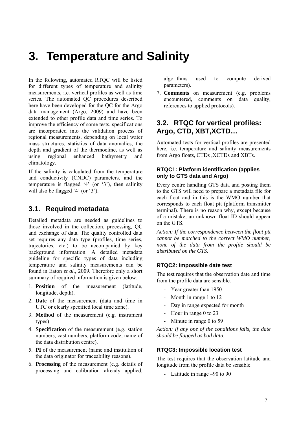## **3. Temperature and Salinity**

In the following, automated RTQC will be listed for different types of temperature and salinity measurements, i.e. vertical profiles as well as time series. The automated QC procedures described here have been developed for the QC for the Argo data management (Argo, 2009) and have been extended to other profile data and time series. To improve the efficiency of some tests, specifications are incorporated into the validation process of regional measurements, depending on local water mass structures, statistics of data anomalies, the depth and gradient of the thermocline, as well as using regional enhanced bathymetry and climatology.

If the salinity is calculated from the temperature and conductivity (CNDC) parameters, and the temperature is flagged '4' (or '3'), then salinity will also be flagged '4' (or '3').

## **3.1. Required metadata**

Detailed metadata are needed as guidelines to those involved in the collection, processing, QC and exchange of data. The quality controlled data set requires any data type (profiles, time series, trajectories, etc.) to be accompanied by key background information. A detailed metadata guideline for specific types of data including temperature and salinity measurements can be found in Eaton *et al.*, 2009. Therefore only a short summary of required information is given below:

- 1. **Position** of the measurement (latitude, longitude, depth).
- 2. **Date** of the measurement (data and time in UTC or clearly specified local time zone).
- 3. **Method** of the measurement (e.g. instrument types)
- 4. **Specification** of the measurement (e.g. station numbers, cast numbers, platform code, name of the data distribution centre).
- 5. **PI** of the measurement (name and institution of the data originator for traceability reasons).
- 6. **Processing** of the measurement (e.g. details of processing and calibration already applied,

algorithms used to compute derived parameters).

7. **Comments** on measurement (e.g. problems encountered, comments on data quality, references to applied protocols).

### **3.2. RTQC for vertical profiles: Argo, CTD, XBT,XCTD…**

Automated tests for vertical profiles are presented here, i.e. temperature and salinity measurements from Argo floats, CTDs ,XCTDs and XBTs.

#### **RTQC1: Platform identification (applies only to GTS data and Argo)**

Every centre handling GTS data and posting them to the GTS will need to prepare a metadata file for each float and in this is the WMO number that corresponds to each float ptt (platform transmitter terminal). There is no reason why, except because of a mistake, an unknown float ID should appear on the GTS.

*Action: If the correspondence between the float ptt cannot be matched to the correct WMO number, none of the data from the profile should be distributed on the GTS.* 

#### **RTQC2: Impossible date test**

The test requires that the observation date and time from the profile data are sensible.

- Year greater than 1950
- Month in range 1 to 12
- Day in range expected for month
- Hour in range 0 to 23
- Minute in range 0 to 59

*Action: If any one of the conditions fails, the date should be flagged as bad data.* 

#### **RTQC3: Impossible location test**

The test requires that the observation latitude and longitude from the profile data be sensible.

- Latitude in range –90 to 90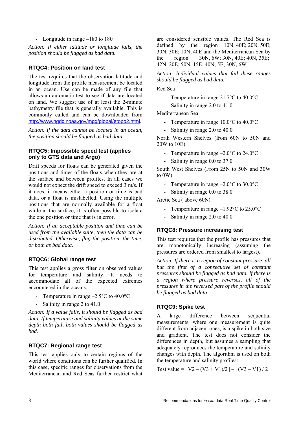- Longitude in range –180 to 180

*Action: If either latitude or longitude fails, the position should be flagged as bad data.* 

#### **RTQC4: Position on land test**

The test requires that the observation latitude and longitude from the profile measurement be located in an ocean. Use can be made of any file that allows an automatic test to see if data are located on land. We suggest use of at least the 2-minute bathymetry file that is generally available. This is commonly called and can be downloaded from http://www.ngdc.noaa.gov/mgg/global/etopo2.html.

*Action: If the data cannot be located in an ocean, the position should be flagged as bad data.* 

#### **RTQC5: Impossible speed test (applies only to GTS data and Argo)**

Drift speeds for floats can be generated given the positions and times of the floats when they are at the surface and between profiles. In all cases we would not expect the drift speed to exceed 3 m/s. If it does, it means either a position or time is bad data, or a float is mislabelled. Using the multiple positions that are normally available for a float while at the surface, it is often possible to isolate the one position or time that is in error.

*Action: If an acceptable position and time can be used from the available suite, then the data can be distributed. Otherwise, flag the position, the time, or both as bad data.* 

#### **RTQC6: Global range test**

This test applies a gross filter on observed values for temperature and salinity. It needs to accommodate all of the expected extremes encountered in the oceans.

- Temperature in range  $-2.5^{\circ}$ C to 40.0°C
- Salinity in range 2 to 41.0

*Action: If a value fails, it should be flagged as bad data. If temperature and salinity values at the same depth both fail, both values should be flagged as bad.* 

#### **RTQC7: Regional range test**

This test applies only to certain regions of the world where conditions can be further qualified. In this case, specific ranges for observations from the Mediterranean and Red Seas further restrict what are considered sensible values. The Red Sea is defined by the region 10N, 40E; 20N, 50E; 30N, 30E; 10N, 40E and the Mediterranean Sea by the region 30N, 6W; 30N, 40E; 40N, 35E; 42N, 20E; 50N, 15E; 40N, 5E; 30N, 6W.

*Action: Individual values that fail these ranges should be flagged as bad data.* 

Red Sea

- Temperature in range 21.7°C to 40.0°C
- Salinity in range 2.0 to 41.0

Mediterranean Sea

- Temperature in range 10.0°C to 40.0°C
- Salinity in range 2.0 to 40.0

North Western Shelves (from 60N to 50N and 20W to 10E)

- Temperature in range –2.0°C to 24.0°C
- Salinity in range 0.0 to 37.0

South West Shelves (From 25N to 50N and 30W to 0W)

- Temperature in range  $-2.0^{\circ}$ C to 30.0°C
- Salinity in range 0.0 to 38.0

Arctic Sea ( above 60N)

- Temperature in range  $-1.92^{\circ}$ C to 25.0°C
- Salinity in range 2.0 to 40.0

#### **RTQC8: Pressure increasing test**

This test requires that the profile has pressures that are monotonically increasing (assuming the pressures are ordered from smallest to largest).

*Action: If there is a region of constant pressure, all but the first of a consecutive set of constant pressures should be flagged as bad data. If there is a region where pressure reverses, all of the pressures in the reversed part of the profile should be flagged as bad data.* 

#### **RTQC9: Spike test**

A large difference between sequential measurements, where one measurement is quite different from adjacent ones, is a spike in both size and gradient. The test does not consider the differences in depth, but assumes a sampling that adequately reproduces the temperature and salinity changes with depth. The algorithm is used on both the temperature and salinity profiles:

Test value =  $|V2 - (V3 + V1)/2| - |(V3 - V1)/2|$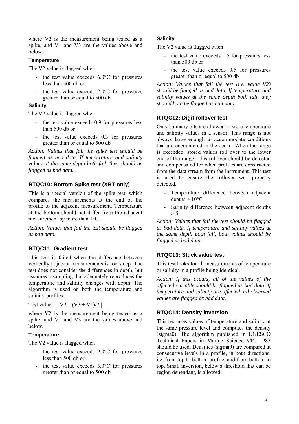where V2 is the measurement being tested as a spike, and V1 and V3 are the values above and below.

#### **Temperature**

The V2 value is flagged when

- the test value exceeds  $6.0^{\circ}$ C for pressures less than 500 db or
- the test value exceeds  $2.0^{\circ}$ C for pressures greater than or equal to 500 db

#### **Salinity**

The V2 value is flagged when

- the test value exceeds 0.9 for pressures less than 500 db or
- the test value exceeds 0.3 for pressures greater than or equal to 500 db

*Action: Values that fail the spike test should be flagged as bad data. If temperature and salinity values at the same depth both fail, they should be flagged as bad data.* 

#### **RTQC10: Bottom Spike test (XBT only)**

This is a special version of the spike test, which compares the measurements at the end of the profile to the adjacent measurement. Temperature at the bottom should not differ from the adjacent measurement by more than 1°C.

*Action: Values that fail the test should be flagged as bad data.* 

#### **RTQC11: Gradient test**

This test is failed when the difference between vertically adjacent measurements is too steep. The test does not consider the differences in depth, but assumes a sampling that adequately reproduces the temperature and salinity changes with depth. The algorithm is used on both the temperature and salinity profiles:

Test value =  $| V2 - (V3 + V1)/2 |$ 

where V2 is the measurement being tested as a spike, and V1 and V3 are the values above and below.

#### **Temperature**

The V2 value is flagged when

- the test value exceeds  $9.0^{\circ}$ C for pressures less than 500 db or
- the test value exceeds 3.0°C for pressures greater than or equal to 500 db

#### **Salinity**

The V2 value is flagged when

- the test value exceeds 1.5 for pressures less than 500 db or
- the test value exceeds 0.5 for pressures greater than or equal to 500 db

*Action: Values that fail the test (i.e. value V2) should be flagged as bad data. If temperature and salinity values at the same depth both fail, they should both be flagged as bad data.* 

#### **RTQC12: Digit rollover test**

Only so many bits are allowed to store temperature and salinity values in a sensor. This range is not always large enough to accommodate conditions that are encountered in the ocean. When the range is exceeded, stored values roll over to the lower end of the range. This rollover should be detected and compensated for when profiles are constructed from the data stream from the instrument. This test is used to ensure the rollover was properly detected.

- Temperature difference between adjacent depths  $> 10^{\circ}$ C
- Salinity difference between adjacent depths  $> 5$

*Action: Values that fail the test should be flagged as bad data. If temperature and salinity values at the same depth both fail, both values should be flagged as bad data.* 

#### **RTQC13: Stuck value test**

This test looks for all measurements of temperature or salinity in a profile being identical.

*Action: If this occurs, all of the values of the affected variable should be flagged as bad data. If temperature and salinity are affected, all observed values are flagged as bad data.* 

#### **RTQC14: Density inversion**

This test uses values of temperature and salinity at the same pressure level and computes the density (sigma0). The algorithm published in UNESCO Technical Papers in Marine Science #44, 1983 should be used. Densities (sigma0) are compared at consecutive levels in a profile, in both directions, i.e. from top to bottom profile, and from bottom to top. Small inversion, below a threshold that can be region dependant, is allowed.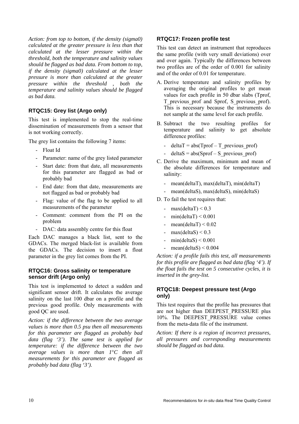*Action: from top to bottom, if the density (sigma0) calculated at the greater pressure is less than that calculated at the lesser pressure within the threshold, both the temperature and salinity values should be flagged as bad data. From bottom to top, if the density (sigma0) calculated at the lesser pressure is more than calculated at the greater pressure within the threshold , both the temperature and salinity values should be flagged as bad data.* 

#### **RTQC15: Grey list (Argo only)**

This test is implemented to stop the real-time dissemination of measurements from a sensor that is not working correctly.

The grey list contains the following 7 items:

- Float Id
- Parameter: name of the grey listed parameter
- Start date: from that date, all measurements for this parameter are flagged as bad or probably bad
- End date: from that date, measurements are not flagged as bad or probably bad
- Flag: value of the flag to be applied to all measurements of the parameter
- Comment: comment from the PI on the problem
- DAC: data assembly centre for this float

Each DAC manages a black list, sent to the GDACs. The merged black-list is available from the GDACs. The decision to insert a float parameter in the grey list comes from the PI.

#### **RTQC16: Gross salinity or temperature sensor drift (Argo only)**

This test is implemented to detect a sudden and significant sensor drift. It calculates the average salinity on the last 100 dbar on a profile and the previous good profile. Only measurements with good QC are used.

*Action: if the difference between the two average values is more than 0.5 psu then all measurements for this parameter are flagged as probably bad data (flag '3'). The same test is applied for temperature: if the difference between the two average values is more than 1*°*C then all measurements for this parameter are flagged as probably bad data (flag '3').* 

#### **RTQC17: Frozen profile test**

This test can detect an instrument that reproduces the same profile (with very small deviations) over and over again. Typically the differences between two profiles are of the order of 0.001 for salinity and of the order of 0.01 for temperature.

- A. Derive temperature and salinity profiles by averaging the original profiles to get mean values for each profile in 50 dbar slabs (Tprof, T\_previous\_prof and Sprof, S\_previous\_prof). This is necessary because the instruments do not sample at the same level for each profile.
- B. Subtract the two resulting profiles for temperature and salinity to get absolute difference profiles:
	- deltaT = abs(Tprof T\_previous\_prof)
	- deltaS = abs(Sprof S\_previous\_prof)
- C. Derive the maximum, minimum and mean of the absolute differences for temperature and salinity:
	- mean(deltaT), max(deltaT), min(deltaT)
	- mean(deltaS), max(deltaS), min(deltaS)
- D. To fail the test requires that:
	- max(deltaT)  $\leq 0.3$
	- min(deltaT)  $< 0.001$
	- mean(deltaT)  $< 0.02$
	- $max(dettaS) < 0.3$
	- $min(dettaS) < 0.001$
	- mean(deltaS)  $\leq 0.004$

*Action: if a profile fails this test, all measurements for this profile are flagged as bad data (flag '4'). If the float fails the test on 5 consecutive cycles, it is inserted in the grey-list.* 

#### **RTQC18: Deepest pressure test (Argo only)**

This test requires that the profile has pressures that are not higher than DEEPEST\_PRESSURE plus 10%. The DEEPEST PRESSURE value comes from the meta-data file of the instrument.

*Action: If there is a region of incorrect pressures, all pressures and corresponding measurements should be flagged as bad data.*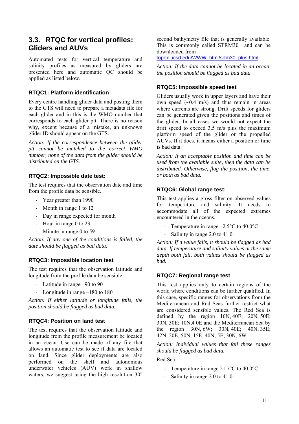### **3.3. RTQC for vertical profiles: Gliders and AUVs**

Automated tests for vertical temperature and salinity profiles as measured by gliders are presented here and automatic QC should be applied as listed below.

#### **RTQC1: Platform identification**

Every centre handling glider data and posting them to the GTS will need to prepare a metadata file for each glider and in this is the WMO number that corresponds to each glider ptt. There is no reason why, except because of a mistake, an unknown glider ID should appear on the GTS.

*Action: If the correspondence between the glider ptt cannot be matched to the correct WMO number, none of the data from the glider should be distributed on the GTS.* 

#### **RTQC2: Impossible date test:**

The test requires that the observation date and time from the profile data be sensible.

- Year greater than 1990
- Month in range 1 to 12
- Day in range expected for month
- Hour in range 0 to 23
- Minute in range 0 to 59

*Action: If any one of the conditions is failed, the date should be flagged as bad data.* 

#### **RTQC3: Impossible location test**

The test requires that the observation latitude and longitude from the profile data be sensible.

- Latitude in range –90 to 90
- Longitude in range –180 to 180

*Action: If either latitude or longitude fails, the position should be flagged as bad data.* 

#### **RTQC4: Position on land test**

The test requires that the observation latitude and longitude from the profile measurement be located in an ocean. Use can be made of any file that allows an automatic test to see if data are located on land. Since glider deployments are also performed on the shelf and autonomous underwater vehicles (AUV) work in shallow waters, we suggest using the high resolution 30"

second bathymetry file that is generally available. This is commonly called STRM30+ and can be downloaded from

topex.ucsd.edu/WWW\_html/srtm30\_plus.html

*Action: If the data cannot be located in an ocean, the position should be flagged as bad data.* 

#### **RTQC5: Impossible speed test**

Gliders usually work in upper layers and have their own speed  $(-0.4 \text{ m/s})$  and thus remain in areas where currents are strong. Drift speeds for gliders can be generated given the positions and times of the glider. In all cases we would not expect the drift speed to exceed 3.5 m/s plus the maximum platform speed of the glider or the propelled AUVs. If it does, it means either a position or time is bad data.

*Action: If an acceptable position and time can be used from the available suite, then the data can be distributed. Otherwise, flag the position, the time, or both as bad data.* 

#### **RTQC6: Global range test:**

This test applies a gross filter on observed values for temperature and salinity. It needs to accommodate all of the expected extremes encountered in the oceans.

- Temperature in range  $-2.5^{\circ}$ C to  $40.0^{\circ}$ C
- Salinity in range 2.0 to 41.0

*Action: If a value fails, it should be flagged as bad data. If temperature and salinity values at the same depth both fail, both values should be flagged as bad.* 

#### **RTQC7: Regional range test**

This test applies only to certain regions of the world where conditions can be further qualified. In this case, specific ranges for observations from the Mediterranean and Red Seas further restrict what are considered sensible values. The Red Sea is defined by the region 10N, 40E; 20N, 50E; 30N, 30E; 10N,4 0E and the Mediterranean Sea by the region 30N, 6W; 30N, 40E; 40N, 35E; 42N, 20E; 50N, 15E; 40N, 5E; 30N, 6W.

*Action: Individual values that fail these ranges should be flagged as bad data.* 

#### Red Sea

- Temperature in range 21.7°C to 40.0°C
- Salinity in range 2.0 to 41.0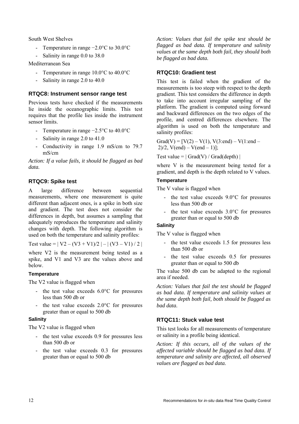South West Shelves

- Temperature in range −2.0°C to 30.0°C
- Salinity in range 0.0 to 38.0

Mediterranean Sea

- Temperature in range 10.0°C to 40.0°C
- Salinity in range 2.0 to 40.0

#### **RTQC8: Instrument sensor range test**

Previous tests have checked if the measurements lie inside the oceanographic limits. This test requires that the profile lies inside the instrument sensor limits.

- Temperature in range −2.5°C to 40.0°C
- Salinity in range 2.0 to 41.0
- Conductivity in range 1.9 mS/cm to 79.7 mS/cm

*Action: If a value fails, it should be flagged as bad data.* 

#### **RTQC9: Spike test**

A large difference between sequential measurements, where one measurement is quite different than adjacent ones, is a spike in both size and gradient. The test does not consider the differences in depth, but assumes a sampling that adequately reproduces the temperature and salinity changes with depth. The following algorithm is used on both the temperature and salinity profiles:

Test value =  $|V2 - (V3 + V1)/2| - |(V3 - V1)/2|$ 

where V2 is the measurement being tested as a spike, and V1 and V3 are the values above and below.

#### **Temperature**

The V2 value is flagged when

- the test value exceeds 6.0°C for pressures less than 500 db or
- the test value exceeds  $2.0^{\circ}$ C for pressures greater than or equal to 500 db

#### **Salinity**

The V2 value is flagged when

- the test value exceeds 0.9 for pressures less than 500 db or
- the test value exceeds 0.3 for pressures greater than or equal to 500 db

*Action: Values that fail the spike test should be flagged as bad data. If temperature and salinity values at the same depth both fail, they should both be flagged as bad data.* 

#### **RTQC10: Gradient test**

This test is failed when the gradient of the measurements is too steep with respect to the depth gradient. This test considers the difference in depth to take into account irregular sampling of the platform. The gradient is computed using forward and backward differences on the two edges of the profile, and centred differences elsewhere. The algorithm is used on both the temperature and salinity profiles:

Grad(V) =  $[V(2) - V(1), V(3):end - V(1):end 2)/2$ ,  $V(end) - V(end - 1)$ ];

Test value =  $|$  Grad(V) / Grad(depth)  $|$ 

where V is the measurement being tested for a gradient, and depth is the depth related to V values.

#### **Temperature**

The V value is flagged when

- the test value exceeds  $9.0^{\circ}$ C for pressures less than 500 db or
- the test value exceeds 3.0°C for pressures greater than or equal to 500 db

#### **Salinity**

The V value is flagged when

- the test value exceeds 1.5 for pressures less than 500 db or
- the test value exceeds  $0.5$  for pressures greater than or equal to 500 db

The value 500 db can be adapted to the regional area if needed.

*Action: Values that fail the test should be flagged as bad data. If temperature and salinity values at the same depth both fail, both should be flagged as bad data.* 

#### **RTQC11: Stuck value test**

This test looks for all measurements of temperature or salinity in a profile being identical.

*Action: If this occurs, all of the values of the affected variable should be flagged as bad data. If temperature and salinity are affected, all observed values are flagged as bad data.*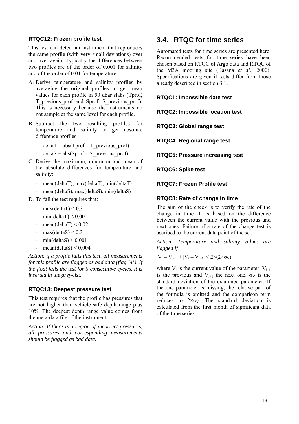#### **RTQC12: Frozen profile test**

This test can detect an instrument that reproduces the same profile (with very small deviations) over and over again. Typically the differences between two profiles are of the order of 0.001 for salinity and of the order of 0.01 for temperature.

- A. Derive temperature and salinity profiles by averaging the original profiles to get mean values for each profile in 50 dbar slabs (Tprof, T\_previous\_prof and Sprof, S\_previous\_prof). This is necessary because the instruments do not sample at the same level for each profile.
- B. Subtract the two resulting profiles for temperature and salinity to get absolute difference profiles:
	- deltaT = abs(Tprof T\_previous\_prof)
	- deltaS = abs(Sprof S\_previous\_prof)
- C. Derive the maximum, minimum and mean of the absolute differences for temperature and salinity:
	- mean(deltaT), max(deltaT), min(deltaT)
	- mean(deltaS), max(deltaS), min(deltaS)
- D. To fail the test requires that:
	- max(deltaT)  $\leq 0.3$
	- min(deltaT)  $< 0.001$
	- mean(deltaT)  $< 0.02$
	- max $\text{(delta)} \leq 0.3$
	- min(deltaS)  $\leq 0.001$
	- mean(deltaS)  $\leq$  0.004

*Action: if a profile fails this test, all measurements for this profile are flagged as bad data (flag '4'). If the float fails the test for 5 consecutive cycles, it is inserted in the grey-list.* 

#### **RTQC13: Deepest pressure test**

This test requires that the profile has pressures that are not higher than vehicle safe depth range plus 10%. The deepest depth range value comes from the meta-data file of the instrument.

*Action: If there is a region of incorrect pressures, all pressures and corresponding measurements should be flagged as bad data.* 

### **3.4. RTQC for time series**

Automated tests for time series are presented here. Recommended tests for time series have been chosen based on RTQC of Argo data and RTQC of the M3A mooring site (Basana *et al.*, 2000). Specifications are given if tests differ from those already described in section 3.1.

**RTQC1: Impossible date test** 

**RTQC2: Impossible location test** 

**RTQC3: Global range test** 

**RTQC4: Regional range test** 

**RTQC5: Pressure increasing test** 

**RTQC6: Spike test** 

**RTQC7: Frozen Profile test** 

#### **RTQC8: Rate of change in time**

The aim of the check is to verify the rate of the change in time. It is based on the difference between the current value with the previous and next ones. Failure of a rate of the change test is ascribed to the current data point of the set.

*Action: Temperature and salinity values are flagged if* 

$$
|V_i-V_{i\text{-}1}|+|V_i-V_{i\text{+}1}|\!\leq\!2{\times}(2{\times}\sigma_V)
$$

where  $V_i$  is the current value of the parameter,  $V_{i-1}$ is the previous and  $V_{i+1}$  the next one.  $\sigma_V$  is the standard deviation of the examined parameter. If the one parameter is missing, the relative part of the formula is omitted and the comparison term reduces to  $2 \times \sigma_v$ . The standard deviation is calculated from the first month of significant data of the time series.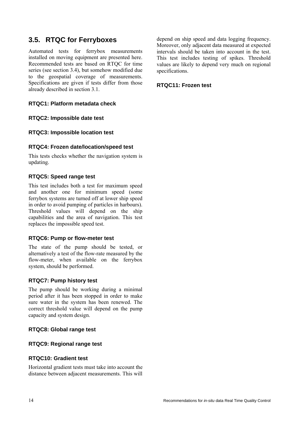## **3.5. RTQC for Ferryboxes**

Automated tests for ferrybox measurements installed on moving equipment are presented here. Recommended tests are based on RTQC for time series (see section 3.4), but somehow modified due to the geospatial coverage of measurements. Specifications are given if tests differ from those already described in section 3.1.

#### **RTQC1: Platform metadata check**

#### **RTQC2: Impossible date test**

#### **RTQC3: Impossible location test**

#### **RTQC4: Frozen date/location/speed test**

This tests checks whether the navigation system is updating.

#### **RTQC5: Speed range test**

This test includes both a test for maximum speed and another one for minimum speed (some ferrybox systems are turned off at lower ship speed in order to avoid pumping of particles in harbours). Threshold values will depend on the ship capabilities and the area of navigation. This test replaces the impossible speed test.

#### **RTQC6: Pump or flow-meter test**

The state of the pump should be tested, or alternatively a test of the flow-rate measured by the flow-meter, when available on the ferrybox system, should be performed.

#### **RTQC7: Pump history test**

The pump should be working during a minimal period after it has been stopped in order to make sure water in the system has been renewed. The correct threshold value will depend on the pump capacity and system design.

#### **RTQC8: Global range test**

#### **RTQC9: Regional range test**

#### **RTQC10: Gradient test**

Horizontal gradient tests must take into account the distance between adjacent measurements. This will depend on ship speed and data logging frequency. Moreover, only adjacent data measured at expected intervals should be taken into account in the test. This test includes testing of spikes. Threshold values are likely to depend very much on regional specifications.

#### **RTQC11: Frozen test**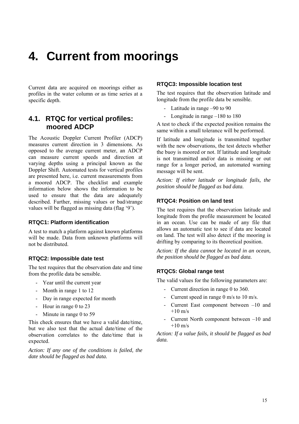## **4. Current from moorings**

Current data are acquired on moorings either as profiles in the water column or as time series at a specific depth.

### **4.1. RTQC for vertical profiles: moored ADCP**

The Acoustic Doppler Current Profiler (ADCP) measures current direction in 3 dimensions. As opposed to the average current meter, an ADCP can measure current speeds and direction at varying depths using a principal known as the Doppler Shift. Automated tests for vertical profiles are presented here, i.e. current measurements from a moored ADCP. The checklist and example information below shows the information to be used to ensure that the data are adequately described. Further, missing values or bad/strange values will be flagged as missing data (flag '9').

#### **RTQC1: Platform identification**

A test to match a platform against known platforms will be made. Data from unknown platforms will not be distributed.

#### **RTQC2: Impossible date test**

The test requires that the observation date and time from the profile data be sensible.

- Year until the current year
- Month in range 1 to 12
- Day in range expected for month
- Hour in range 0 to 23
- Minute in range 0 to 59

This check ensures that we have a valid date/time, but we also test that the actual date/time of the observation correlates to the date/time that is expected.

*Action: If any one of the conditions is failed, the date should be flagged as bad data.* 

#### **RTQC3: Impossible location test**

The test requires that the observation latitude and longitude from the profile data be sensible.

- Latitude in range –90 to 90
- Longitude in range –180 to 180

A test to check if the expected position remains the same within a small tolerance will be performed.

If latitude and longitude is transmitted together with the new observations, the test detects whether the buoy is moored or not. If latitude and longitude is not transmitted and/or data is missing or out range for a longer period, an automated warning message will be sent.

*Action: If either latitude or longitude fails, the position should be flagged as bad data.* 

#### **RTQC4: Position on land test**

The test requires that the observation latitude and longitude from the profile measurement be located in an ocean. Use can be made of any file that allows an automatic test to see if data are located on land. The test will also detect if the mooring is drifting by comparing to its theoretical position.

*Action: If the data cannot be located in an ocean, the position should be flagged as bad data.* 

#### **RTQC5: Global range test**

The valid values for the following parameters are:

- Current direction in range 0 to 360.
- Current speed in range 0 m/s to 10 m/s.
- Current East component between –10 and  $+10$  m/s
- Current North component between –10 and  $+10 \text{ m/s}$

*Action: If a value fails, it should be flagged as bad data.*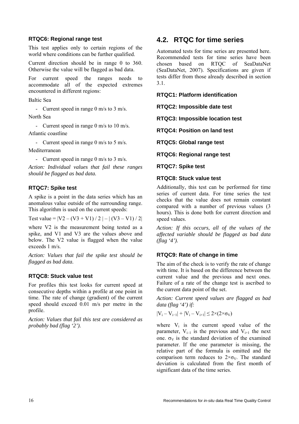#### **RTQC6: Regional range test**

This test applies only to certain regions of the world where conditions can be further qualified.

Current direction should be in range 0 to 360. Otherwise the value will be flagged as bad data.

For current speed the ranges needs to accommodate all of the expected extremes encountered in different regions:

Baltic Sea

- Current speed in range 0 m/s to 3 m/s.

North Sea

- Current speed in range 0 m/s to 10 m/s.

Atlantic coastline

- Current speed in range 0 m/s to 5 m/s.

Mediterranean

- Current speed in range 0 m/s to 3 m/s.

*Action: Individual values that fail these ranges should be flagged as bad data.* 

#### **RTQC7: Spike test**

A spike is a point in the data series which has an anomalous value outside of the surrounding range. This algorithm is used on the current speeds:

Test value =  $|V2 - (V3 + V1)/2| - |(V3 - V1)/2|$ 

where V2 is the measurement being tested as a spike, and V1 and V3 are the values above and below. The V2 value is flagged when the value exceeds 1 m/s.

*Action: Values that fail the spike test should be flagged as bad data.* 

#### **RTQC8: Stuck value test**

For profiles this test looks for current speed at consecutive depths within a profile at one point in time. The rate of change (gradient) of the current speed should exceed 0.01 m/s per metre in the profile.

*Action: Values that fail this test are considered as probably bad (flag '2').* 

## **4.2. RTQC for time series**

Automated tests for time series are presented here. Recommended tests for time series have been chosen based on RTQC of SeaDataNet (SeaDataNet, 2007). Specifications are given if tests differ from those already described in section 3.1.

**RTQC1: Platform identification** 

**RTQC2: Impossible date test** 

**RTQC3: Impossible location test** 

**RTQC4: Position on land test** 

**RTQC5: Global range test** 

**RTQC6: Regional range test** 

**RTQC7: Spike test** 

#### **RTQC8: Stuck value test**

Additionally, this test can be performed for time series of current data. For time series the test checks that the value does not remain constant compared with a number of previous values (3 hours). This is done both for current direction and speed values.

*Action: If this occurs, all of the values of the affected variable should be flagged as bad data (flag '4').* 

#### **RTQC9: Rate of change in time**

The aim of the check is to verify the rate of change with time. It is based on the difference between the current value and the previous and next ones. Failure of a rate of the change test is ascribed to the current data point of the set.

*Action: Current speed values are flagged as bad data (flag '4') if:* 

 $|V_i - V_{i-1}| + |V_i - V_{i+1}| \leq 2 \times (2 \times \sigma_V)$ 

where  $V_i$  is the current speed value of the parameter,  $V_{i-1}$  is the previous and  $V_{i+1}$  the next one.  $\sigma_V$  is the standard deviation of the examined parameter. If the one parameter is missing, the relative part of the formula is omitted and the comparison term reduces to  $2 \times \sigma_V$ . The standard deviation is calculated from the first month of significant data of the time series.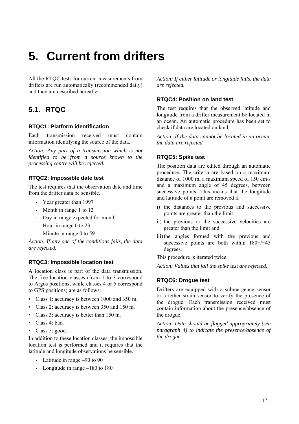## **5. Current from drifters**

All the RTOC tests for current measurements from drifters are run automatically (recommended daily) and they are described hereafter.

## **5.1. RTQC**

#### **RTQC1: Platform identification**

Each transmission received must contain information identifying the source of the data.

*Action: Any part of a transmission which is not identified to be from a source known to the processing centre will be rejected.* 

#### **RTQC2: Impossible date test**

The test requires that the observation date and time from the drifter data be sensible.

- Year greater than 1997
- Month in range 1 to 12
- Day in range expected for month
- Hour in range 0 to 23
- Minute in range 0 to 59

*Action: If any one of the conditions fails, the data are rejected.* 

#### **RTQC3: Impossible location test**

A location class is part of the data transmission. The five location classes (from 1 to 3 correspond to Argos positions, while classes 4 or 5 correspond to GPS positions) are as follows:

- Class 1: accuracy is between 1000 and 350 m.
- Class 2: accuracy is between 350 and 150 m.
- Class 3: accuracy is better than 150 m.
- Class 4: bad.
- Class 5: good.

In addition to these location classes, the impossible location test is performed and it requires that the latitude and longitude observations be sensible.

- Latitude in range –90 to 90
- Longitude in range –180 to 180

*Action: If either latitude or longitude fails, the data are rejected.* 

#### **RTQC4: Position on land test**

The test requires that the observed latitude and longitude from a drifter measurement be located in an ocean. An automatic procedure has been set to check if data are located on land.

*Action: If the data cannot be located in an ocean, the data are rejected.* 

#### **RTQC5: Spike test**

The position data are edited through an automatic procedure. The criteria are based on a maximum distance of 1000 m, a maximum speed of 150 cm/s and a maximum angle of 45 degrees, between successive points. This means that the longitude and latitude of a point are removed if

- i) the distances to the previous and successive points are greater than the limit
- ii) the previous or the successive velocities are greater than the limit and
- iii) the angles formed with the previous and successive points are both within 180+/−45 degrees.

This procedure is iterated twice.

*Action: Values that fail the spike test are rejected.* 

#### **RTQC6: Drogue test**

Drifters are equipped with a submergence sensor or a tether strain sensor to verify the presence of the drogue. Each transmission received must contain information about the presence/absence of the drogue.

*Action: Data should be flagged appropriately (see paragraph 4) to indicate the presence/absence of the drogue.*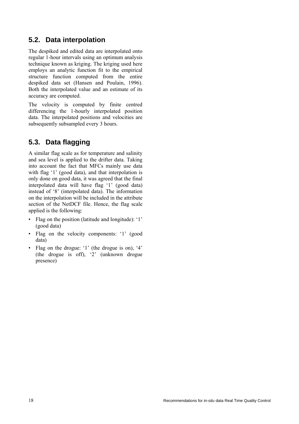## **5.2. Data interpolation**

The despiked and edited data are interpolated onto regular 1-hour intervals using an optimum analysis technique known as kriging. The kriging used here employs an analytic function fit to the empirical structure function computed from the entire despiked data set (Hansen and Poulain, 1996). Both the interpolated value and an estimate of its accuracy are computed.

The velocity is computed by finite centred differencing the 1-hourly interpolated position data. The interpolated positions and velocities are subsequently subsampled every 3 hours.

## **5.3. Data flagging**

A similar flag scale as for temperature and salinity and sea level is applied to the drifter data. Taking into account the fact that MFCs mainly use data with flag '1' (good data), and that interpolation is only done on good data, it was agreed that the final interpolated data will have flag '1' (good data) instead of '8' (interpolated data). The information on the interpolation will be included in the attribute section of the NetDCF file. Hence, the flag scale applied is the following:

- Flag on the position (latitude and longitude): '1' (good data)
- Flag on the velocity components: '1' (good data)
- Flag on the drogue: '1' (the drogue is on), '4' (the drogue is off), '2' (unknown drogue presence)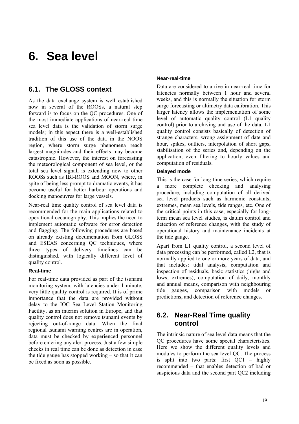## **6. Sea level**

### **6.1. The GLOSS context**

As the data exchange system is well established now in several of the ROOSs, a natural step forward is to focus on the QC procedures. One of the most immediate applications of near-real time sea level data is the validation of storm surge models; in this aspect there is a well-established tradition of this use of the data in the NOOS region, where storm surge phenomena reach largest magnitudes and their effects may become catastrophic. However, the interest on forecasting the meteorological component of sea level, or the total sea level signal, is extending now to other ROOSs such as IBI-ROOS and MOON, where, in spite of being less prompt to dramatic events, it has become useful for better harbour operations and docking manoeuvres for large vessels.

Near-real time quality control of sea level data is recommended for the main applications related to operational oceanography. This implies the need to implement automatic software for error detection and flagging. The following procedures are based on already existing documentation from GLOSS and ESEAS concerning QC techniques, where three types of delivery timelines can be distinguished, with logically different level of quality control.

#### **Real-time**

For real-time data provided as part of the tsunami monitoring system, with latencies under 1 minute, very little quality control is required. It is of prime importance that the data are provided without delay to the IOC Sea Level Station Monitoring Facility, as an interim solution in Europe, and that quality control does not remove tsunami events by rejecting out-of-range data. When the final regional tsunami warning centres are in operation, data must be checked by experienced personnel before entering any alert process. Just a few simple checks in real time can be done as detection in case the tide gauge has stopped working – so that it can be fixed as soon as possible.

#### **Near-real-time**

Data are considered to arrive in near-real time for latencies normally between 1 hour and several weeks, and this is normally the situation for storm surge forecasting or altimetry data calibration. This larger latency allows the implementation of some level of automatic quality control (L1 quality control) prior to archiving and use of the data. L1 quality control consists basically of detection of strange characters, wrong assignment of date and hour, spikes, outliers, interpolation of short gaps, stabilisation of the series and, depending on the application, even filtering to hourly values and computation of residuals.

#### **Delayed mode**

This is the case for long time series, which require a more complete checking and analysing procedure, including computation of all derived sea level products such as harmonic constants, extremes, mean sea levels, tide ranges, etc. One of the critical points in this case, especially for longterm mean sea level studies, is datum control and detection of reference changes, with the study of operational history and maintenance incidents at the tide gauge.

Apart from L1 quality control, a second level of data processing can be performed, called L2, that is normally applied to one or more years of data, and that includes: tidal analysis, computation and inspection of residuals, basic statistics (highs and lows, extremes), computation of daily, monthly and annual means, comparison with neighbouring tide gauges, comparison with models or predictions, and detection of reference changes.

## **6.2. Near-Real Time quality control**

The intrinsic nature of sea level data means that the QC procedures have some special characteristics. Here we show the different quality levels and modules to perform the sea level QC. The process is split into two parts: first QC1 – highly recommended – that enables detection of bad or suspicious data and the second part QC2 including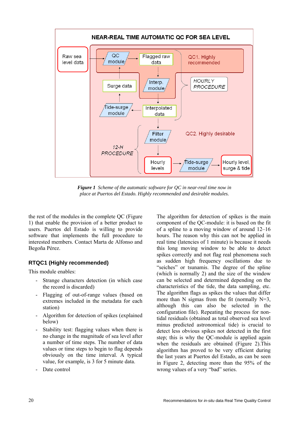

*Figure 1 Scheme of the automatic software for QC in near-real time now in place at Puertos del Estado. Highly recommended and desirable modules.* 

the rest of the modules in the complete QC (Figure 1) that enable the provision of a better product to users. Puertos del Estado is willing to provide software that implements the full procedure to interested members. Contact Marta de Alfonso and Begoña Pérez.

#### **RTQC1 (Highly recommended)**

This module enables:

- Strange characters detection (in which case the record is discarded)
- Flagging of out-of-range values (based on extremes included in the metadata for each station)
- Algorithm for detection of spikes (explained below)
- Stability test: flagging values when there is no change in the magnitude of sea level after a number of time steps. The number of data values or time steps to begin to flag depends obviously on the time interval. A typical value, for example, is 3 for 5 minute data.
- Date control

The algorithm for detection of spikes is the main component of the QC-module: it is based on the fit of a spline to a moving window of around 12–16 hours. The reason why this can not be applied in real time (latencies of 1 minute) is because it needs this long moving window to be able to detect spikes correctly and not flag real phenomena such as sudden high frequency oscillations due to "seiches" or tsunamis. The degree of the spline (which is normally 2) and the size of the window can be selected and determined depending on the characteristics of the tide, the data sampling, etc. The algorithm flags as spikes the values that differ more than N sigmas from the fit (normally  $N=3$ , although this can also be selected in the configuration file). Repeating the process for nontidal residuals (obtained as total observed sea level minus predicted astronomical tide) is crucial to detect less obvious spikes not detected in the first step; this is why the QC-module is applied again when the residuals are obtained (Figure 2).This algorithm has proved to be very efficient during the last years at Puertos del Estado, as can be seen in Figure 2, detecting more than the 95% of the wrong values of a very "bad" series.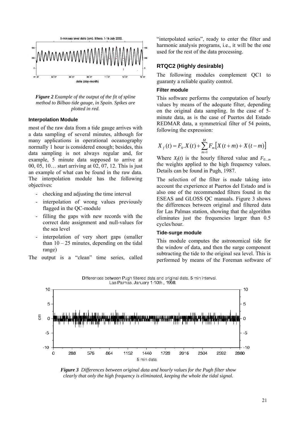

*Figure 2 Example of the output of the fit of spline method to Bilbao tide gauge, in Spain. Spikes are plotted in red.* 

#### **Interpolation Module**

most of the raw data from a tide gauge arrives with a data sampling of several minutes, although for many applications in operational oceanography normally 1 hour is considered enough; besides, this data sampling is not always regular and, for example, 5 minute data supposed to arrive at 00, 05, 10… start arriving at 02, 07, 12. This is just an example of what can be found in the raw data. The interpolation module has the following objectives:

- checking and adjusting the time interval
- interpolation of wrong values previously flagged in the QC-module
- filling the gaps with new records with the correct date assignment and null-values for the sea level
- interpolation of very short gaps (smaller than  $10 - 25$  minutes, depending on the tidal range)

The output is a "clean" time series, called

"interpolated series", ready to enter the filter and harmonic analysis programs, i.e., it will be the one used for the rest of the data processing.

#### **RTQC2 (Highly desirable)**

The following modules complement QC1 to guaranty a reliable quality control.

#### **Filter module**

This software performs the computation of hourly values by means of the adequate filter, depending on the original data sampling. In the case of 5 minute data, as is the case of Puertos del Estado REDMAR data, a symmetrical filter of 54 points, following the expression:

$$
X_{f}(t) = F_{0}.X(t) + \sum_{m=1}^{M} F_{m}[X(t+m) + X(t-m)]
$$

Where  $X_f(t)$  is the hourly filtered value and  $F_{0,m}$ the weights applied to the high frequency values. Details can be found in Pugh, 1987.

The selection of the filter is made taking into account the experience at Puertos del Estado and is also one of the recommended filters found in the ESEAS and GLOSS QC manuals. Figure 3 shows the differences between original and filtered data for Las Palmas station, showing that the algorithm eliminates just the frequencies larger than 0.5 cycles/hour.

#### **Tide-surge module**

This module computes the astronomical tide for the window of data, and then the surge component subtracting the tide to the original sea level. This is performed by means of the Foreman software of

Differences between Pugh filtered data and original data. 5 min interval. Las Palmas. January 1-10th, 1998.



*Figure 3 Differences between original data and hourly values for the Pugh filter show clearly that only the high frequency is eliminated, keeping the whole the tidal signal.*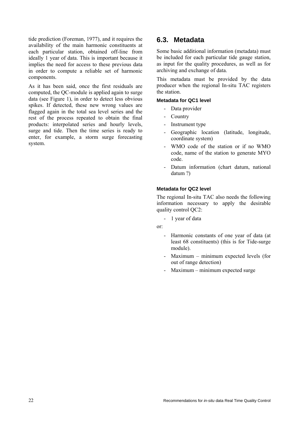tide prediction (Foreman, 1977), and it requires the availability of the main harmonic constituents at each particular station, obtained off-line from ideally 1 year of data. This is important because it implies the need for access to these previous data in order to compute a reliable set of harmonic components.

As it has been said, once the first residuals are computed, the QC-module is applied again to surge data (see Figure 1), in order to detect less obvious spikes. If detected, these new wrong values are flagged again in the total sea level series and the rest of the process repeated to obtain the final products: interpolated series and hourly levels, surge and tide. Then the time series is ready to enter, for example, a storm surge forecasting system.

## **6.3. Metadata**

Some basic additional information (metadata) must be included for each particular tide gauge station, as input for the quality procedures, as well as for archiving and exchange of data.

This metadata must be provided by the data producer when the regional In-situ TAC registers the station.

#### **Metadata for QC1 level**

- Data provider
- Country
- Instrument type
- Geographic location (latitude, longitude, coordinate system)
- WMO code of the station or if no WMO code, name of the station to generate MYO code.
- Datum information (chart datum, national datum ?)

#### **Metadata for QC2 level**

The regional In-situ TAC also needs the following information necessary to apply the desirable quality control OC2:

- 1 year of data

or:

- Harmonic constants of one year of data (at least 68 constituents) (this is for Tide-surge module).
- Maximum minimum expected levels (for out of range detection)
- Maximum minimum expected surge